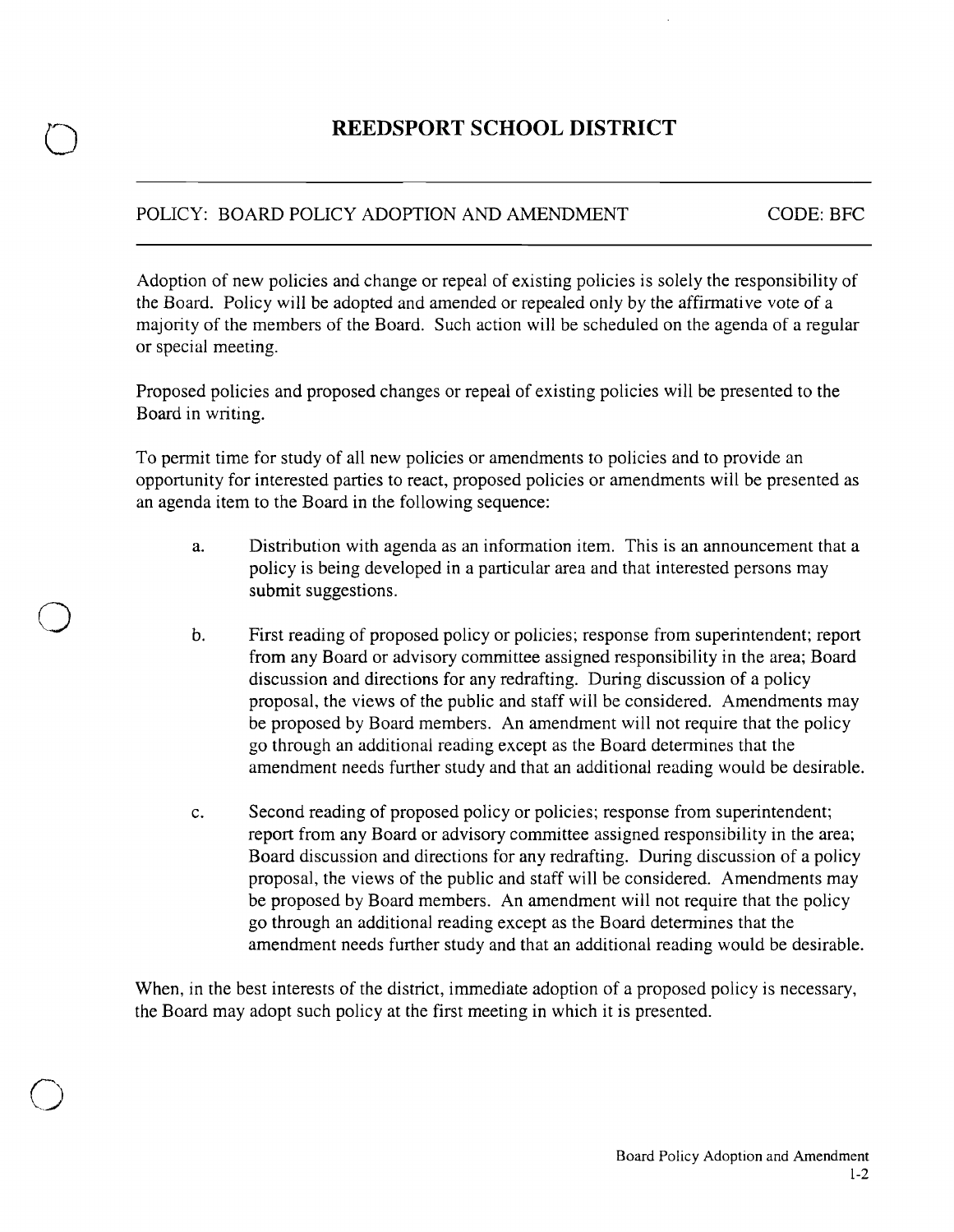## **REEDSPORT SCHOOL DISTRICT**

## POLICY: BOARD POLICY ADOPTION AND AMENDMENT CODE: BFC

o

o

o

Adoption of new policies and change or repeal of existing policies is solely the responsibility of the Board. Policy will be adopted and amended or repealed only by the affirmative vote of a majority of the members of the Board. Such action will be scheduled on the agenda of a regular or special meeting.

Proposed policies and proposed changes or repeal of existing policies will be presented to the Board in writing.

To permit time for study of all new policies or amendments to policies and to provide an opportunity for interested parties to react, proposed policies or amendments will be presented as an agenda item to the Board in the following sequence:

- a. Distribution with agenda as an information item. This is an announcement that a policy is being developed in a particular area and that interested persons may submit suggestions.
- b. First reading of proposed policy or policies; response from superintendent; report from any Board or advisory committee assigned responsibility in the area; Board discussion and directions for any redrafting. During discussion of a policy proposal, the views of the public and staff will be considered. Amendments may be proposed by Board members. An amendment will not require that the policy go through an additional reading except as the Board determines that the amendment needs further study and that an additional reading would be desirable.
- c. Second reading of proposed policy or policies; response from superintendent; report from any Board or advisory committee assigned responsibility in the area; Board discussion and directions for any redrafting. During discussion of a policy proposal, the views of the public and staff will be considered. Amendments may be proposed by Board members. An amendment will not require that the policy go through an additional reading except as the Board determines that the amendment needs further study and that an additional reading would be desirable.

When, in the best interests of the district, immediate adoption of a proposed policy is necessary, the Board may adopt such policy at the first meeting in which it is presented.